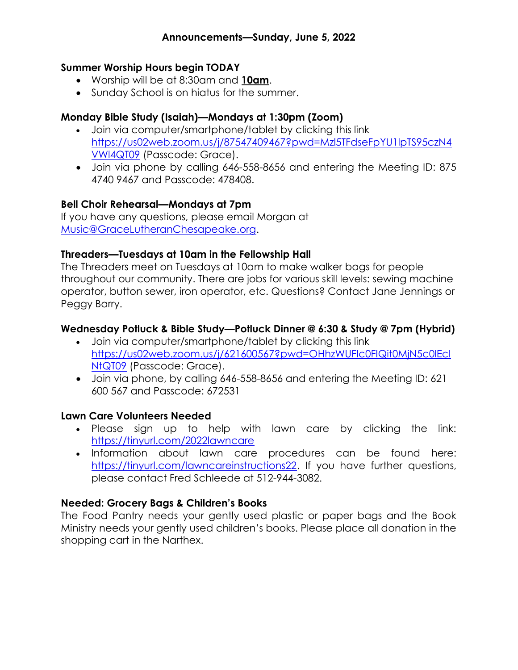### Summer Worship Hours begin TODAY

- Worship will be at 8:30am and 10am.
- Sunday School is on hiatus for the summer.

# Monday Bible Study (Isaiah)—Mondays at 1:30pm (Zoom)

- Join via computer/smartphone/tablet by clicking this link https://us02web.zoom.us/j/87547409467?pwd=Mzl5TFdseFpYU1lpTS95czN4 VWl4QT09 (Passcode: Grace).
- Join via phone by calling 646-558-8656 and entering the Meeting ID: 875 4740 9467 and Passcode: 478408.

# Bell Choir Rehearsal—Mondays at 7pm

If you have any questions, please email Morgan at Music@GraceLutheranChesapeake.org.

### Threaders—Tuesdays at 10am in the Fellowship Hall

The Threaders meet on Tuesdays at 10am to make walker bags for people throughout our community. There are jobs for various skill levels: sewing machine operator, button sewer, iron operator, etc. Questions? Contact Jane Jennings or Peggy Barry.

### Wednesday Potluck & Bible Study—Potluck Dinner @ 6:30 & Study @ 7pm (Hybrid)

- Join via computer/smartphone/tablet by clicking this link https://us02web.zoom.us/j/621600567?pwd=OHhzWUFIc0FIQit0MjN5c0lEcl NtQT09 (Passcode: Grace).
- Join via phone, by calling 646-558-8656 and entering the Meeting ID: 621 600 567 and Passcode: 672531

#### Lawn Care Volunteers Needed

- Please sign up to help with lawn care by clicking the link: https://tinyurl.com/2022lawncare
- . Information about lawn care procedures can be found here: https://tinyurl.com/lawncareinstructions22. If you have further questions, please contact Fred Schleede at 512-944-3082.

# Needed: Grocery Bags & Children's Books

The Food Pantry needs your gently used plastic or paper bags and the Book Ministry needs your gently used children's books. Please place all donation in the shopping cart in the Narthex.